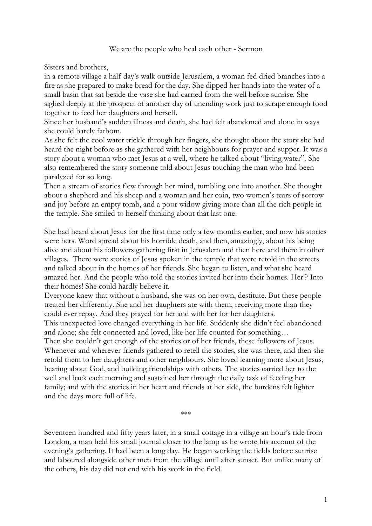## We are the people who heal each other - Sermon

Sisters and brothers,

in a remote village a half-day's walk outside Jerusalem, a woman fed dried branches into a fire as she prepared to make bread for the day. She dipped her hands into the water of a small basin that sat beside the vase she had carried from the well before sunrise. She sighed deeply at the prospect of another day of unending work just to scrape enough food together to feed her daughters and herself.

Since her husband's sudden illness and death, she had felt abandoned and alone in ways she could barely fathom.

As she felt the cool water trickle through her fingers, she thought about the story she had heard the night before as she gathered with her neighbours for prayer and supper. It was a story about a woman who met Jesus at a well, where he talked about "living water". She also remembered the story someone told about Jesus touching the man who had been paralyzed for so long.

Then a stream of stories flew through her mind, tumbling one into another. She thought about a shepherd and his sheep and a woman and her coin, two women's tears of sorrow and joy before an empty tomb, and a poor widow giving more than all the rich people in the temple. She smiled to herself thinking about that last one.

She had heard about Jesus for the first time only a few months earlier, and now his stories were hers. Word spread about his horrible death, and then, amazingly, about his being alive and about his followers gathering first in Jerusalem and then here and there in other villages. There were stories of Jesus spoken in the temple that were retold in the streets and talked about in the homes of her friends. She began to listen, and what she heard amazed her. And the people who told the stories invited her into their homes. Her!? Into their homes! She could hardly believe it.

Everyone knew that without a husband, she was on her own, destitute. But these people treated her differently. She and her daughters ate with them, receiving more than they could ever repay. And they prayed for her and with her for her daughters.

This unexpected love changed everything in her life. Suddenly she didn't feel abandoned and alone; she felt connected and loved, like her life counted for something…

Then she couldn't get enough of the stories or of her friends, these followers of Jesus. Whenever and wherever friends gathered to retell the stories, she was there, and then she retold them to her daughters and other neighbours. She loved learning more about Jesus, hearing about God, and building friendships with others. The stories carried her to the well and back each morning and sustained her through the daily task of feeding her family; and with the stories in her heart and friends at her side, the burdens felt lighter and the days more full of life.

\*\*\*

Seventeen hundred and fifty years later, in a small cottage in a village an hour's ride from London, a man held his small journal closer to the lamp as he wrote his account of the evening's gathering. It had been a long day. He began working the fields before sunrise and laboured alongside other men from the village until after sunset. But unlike many of the others, his day did not end with his work in the field.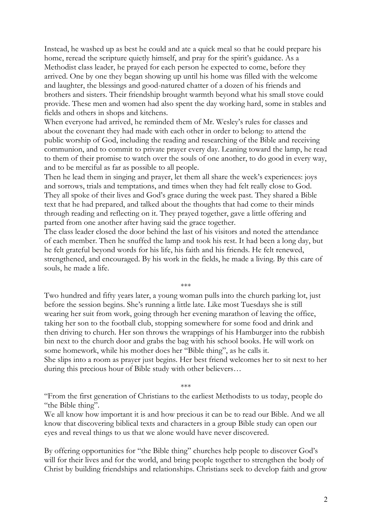Instead, he washed up as best he could and ate a quick meal so that he could prepare his home, reread the scripture quietly himself, and pray for the spirit's guidance. As a Methodist class leader, he prayed for each person he expected to come, before they arrived. One by one they began showing up until his home was filled with the welcome and laughter, the blessings and good-natured chatter of a dozen of his friends and brothers and sisters. Their friendship brought warmth beyond what his small stove could provide. These men and women had also spent the day working hard, some in stables and fields and others in shops and kitchens.

When everyone had arrived, he reminded them of Mr. Wesley's rules for classes and about the covenant they had made with each other in order to belong: to attend the public worship of God, including the reading and researching of the Bible and receiving communion, and to commit to private prayer every day. Leaning toward the lamp, he read to them of their promise to watch over the souls of one another, to do good in every way, and to be merciful as far as possible to all people.

Then he lead them in singing and prayer, let them all share the week's experiences: joys and sorrows, trials and temptations, and times when they had felt really close to God. They all spoke of their lives and God's grace during the week past. They shared a Bible text that he had prepared, and talked about the thoughts that had come to their minds through reading and reflecting on it. They prayed together, gave a little offering and parted from one another after having said the grace together.

The class leader closed the door behind the last of his visitors and noted the attendance of each member. Then he snuffed the lamp and took his rest. It had been a long day, but he felt grateful beyond words for his life, his faith and his friends. He felt renewed, strengthened, and encouraged. By his work in the fields, he made a living. By this care of souls, he made a life.

\*\*\*

Two hundred and fifty years later, a young woman pulls into the church parking lot, just before the session begins. She's running a little late. Like most Tuesdays she is still wearing her suit from work, going through her evening marathon of leaving the office, taking her son to the football club, stopping somewhere for some food and drink and then driving to church. Her son throws the wrappings of his Hamburger into the rubbish bin next to the church door and grabs the bag with his school books. He will work on some homework, while his mother does her "Bible thing", as he calls it. She slips into a room as prayer just begins. Her best friend welcomes her to sit next to her during this precious hour of Bible study with other believers…

\*\*\*

"From the first generation of Christians to the earliest Methodists to us today, people do "the Bible thing".

We all know how important it is and how precious it can be to read our Bible. And we all know that discovering biblical texts and characters in a group Bible study can open our eyes and reveal things to us that we alone would have never discovered.

By offering opportunities for "the Bible thing" churches help people to discover God's will for their lives and for the world, and bring people together to strengthen the body of Christ by building friendships and relationships. Christians seek to develop faith and grow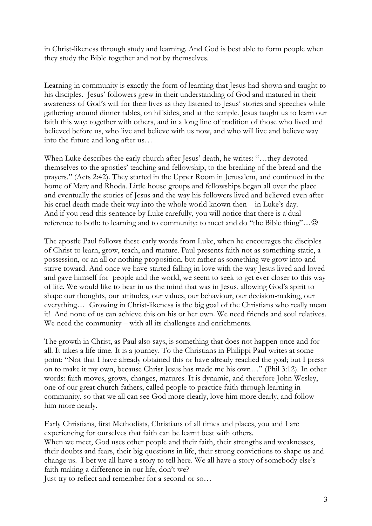in Christ-likeness through study and learning. And God is best able to form people when they study the Bible together and not by themselves.

Learning in community is exactly the form of learning that Jesus had shown and taught to his disciples. Jesus' followers grew in their understanding of God and matured in their awareness of God's will for their lives as they listened to Jesus' stories and speeches while gathering around dinner tables, on hillsides, and at the temple. Jesus taught us to learn our faith this way: together with others, and in a long line of tradition of those who lived and believed before us, who live and believe with us now, and who will live and believe way into the future and long after us…

When Luke describes the early church after Jesus' death, he writes: "…they devoted themselves to the apostles' teaching and fellowship, to the breaking of the bread and the prayers." (Acts 2:42). They started in the Upper Room in Jerusalem, and continued in the home of Mary and Rhoda. Little house groups and fellowships began all over the place and eventually the stories of Jesus and the way his followers lived and believed even after his cruel death made their way into the whole world known then – in Luke's day. And if you read this sentence by Luke carefully, you will notice that there is a dual reference to both: to learning and to community: to meet and do "the Bible thing"... $\odot$ 

The apostle Paul follows these early words from Luke, when he encourages the disciples of Christ to learn, grow, teach, and mature. Paul presents faith not as something static, a possession, or an all or nothing proposition, but rather as something we grow into and strive toward. And once we have started falling in love with the way Jesus lived and loved and gave himself for people and the world, we seem to seek to get ever closer to this way of life. We would like to bear in us the mind that was in Jesus, allowing God's spirit to shape our thoughts, our attitudes, our values, our behaviour, our decision-making, our everything… Growing in Christ-likeness is the big goal of the Christians who really mean it! And none of us can achieve this on his or her own. We need friends and soul relatives. We need the community – with all its challenges and enrichments.

The growth in Christ, as Paul also says, is something that does not happen once and for all. It takes a life time. It is a journey. To the Christians in Philippi Paul writes at some point: "Not that I have already obtained this or have already reached the goal; but I press on to make it my own, because Christ Jesus has made me his own…" (Phil 3:12). In other words: faith moves, grows, changes, matures. It is dynamic, and therefore John Wesley, one of our great church fathers, called people to practice faith through learning in community, so that we all can see God more clearly, love him more dearly, and follow him more nearly.

Early Christians, first Methodists, Christians of all times and places, you and I are experiencing for ourselves that faith can be learnt best with others.

When we meet, God uses other people and their faith, their strengths and weaknesses, their doubts and fears, their big questions in life, their strong convictions to shape us and change us. I bet we all have a story to tell here. We all have a story of somebody else's faith making a difference in our life, don't we?

Just try to reflect and remember for a second or so…